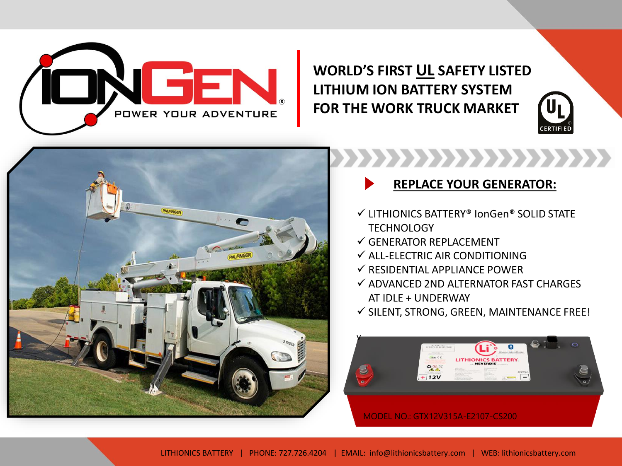

**WORLD'S FIRST UL SAFETY LISTED LITHIUM ION BATTERY SYSTEM FOR THE WORK TRUCK MARKET**





,,,,,,,,,,,,,,,,,,,,, **REPLACE YOUR GENERATOR:**

- ✓ LITHIONICS BATTERY® IonGen® SOLID STATE **TECHNOLOGY**
- $\checkmark$  GENERATOR REPLACEMENT
- $\checkmark$  ALL-FLECTRIC AIR CONDITIONING
- $\checkmark$  RESIDENTIAL APPLIANCE POWER
- $\checkmark$  ADVANCED 2ND ALTERNATOR FAST CHARGES AT IDLE + UNDERWAY
- $\checkmark$  SILENT, STRONG, GREEN, MAINTENANCE FREE!

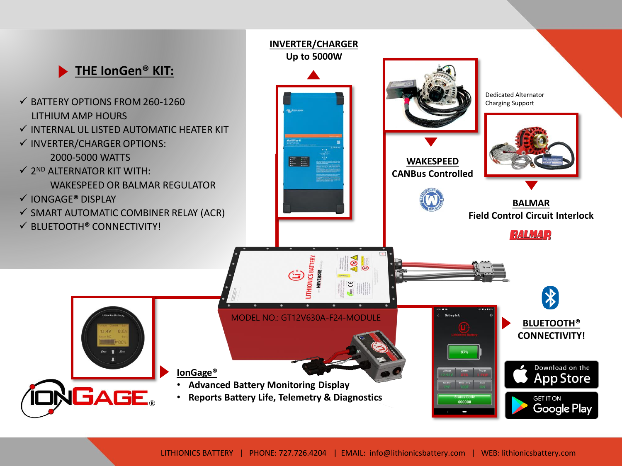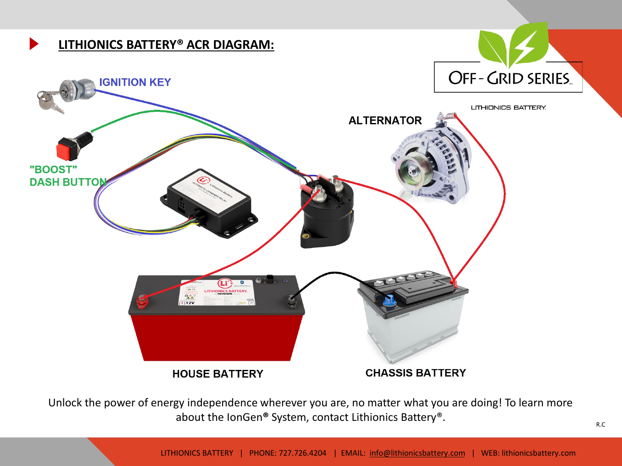

Unlock the power of energy independence wherever you are, no matter what you are doing! To learn more about the IonGen**®** System, contact Lithionics Battery®.